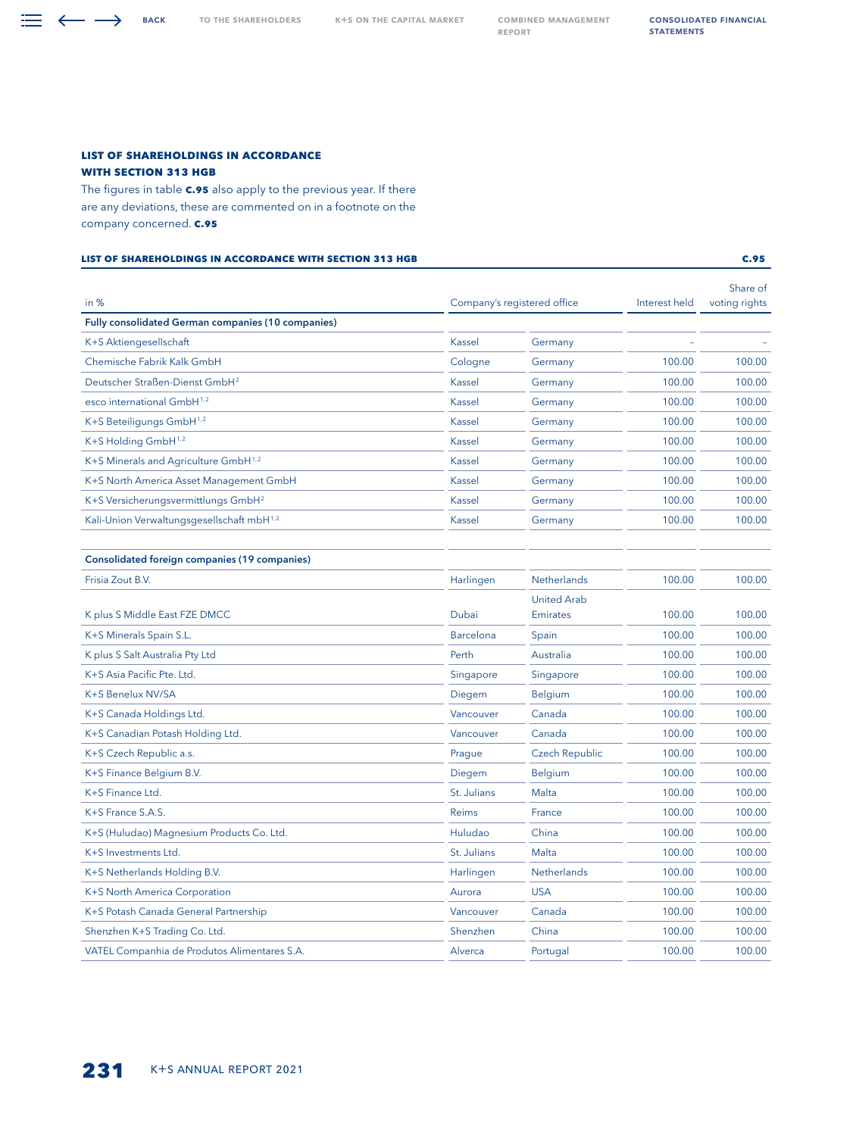<span id="page-0-0"></span>BACK TO THE SHAREHOLDERS K+S ON THE CAPITAL MARKET COMBINED MANAGEMENT report

Consolidated Financial **STATEMENTS** 

## **LIST OF SHAREHOLDINGS IN ACCORDANCE WITH SECTION 313 HGB**

The figures in table **C.95** also apply to the previous year. If there are any deviations, these are commented on in a footnote on the company concerned. **C.95**

## **List of shareholdings in accordance with section 313 HGB C.95**

in % Company's registered office Interest held Share of voting rights Fully consolidated German companies (10 companies) K+S Aktiengesellschaft and the control of the Community Community Community Community Community Community Community Community Community Community Community Community Community Community Community Community Community Commun Chemische Fabrik Kalk GmbH Cologne Germany 100.00 100.00 Deutscher Straßen-Dienst GmbH2 Kassel Germany 100.00 100.00 esco international GmbH<sup>1,2</sup> and the content of the content of the Kassel Germany 100.00 100.00 100.00 K+S Beteiligungs GmbH<sup>1,2</sup> and the Communication of Massel Germany 100.00 100.00 100.00 K+S Holding GmbH<sup>1,2</sup> and Company and Company Rassel Germany 100.00 100.00 100.00 K+S Minerals and Agriculture GmbH<sup>1,2</sup> Kassel Germany 100.00 100.00 100.00 K+S North America Asset Management GmbH **Kassel Kassel Germany** 100.00 100.00 100.00 K+S Versicherungsvermittlungs GmbH<sup>2</sup> and American Cassel Massel Germany 100.00 100.00 100.00 Kali-Union Verwaltungsgesellschaft mbH<sup>1,2</sup> Kassel Germany 100.00 100.00 100.00 Consolidated foreign companies (19 companies) Frisia Zout B.V. Harlingen Netherlands 100.00 100.00 K plus S Middle East FZE DMCC Dubai United Arab Emirates 100.00 100.00 K+S Minerals Spain S.L. Barcelona Spain 100.00 100.00 K plus S Salt Australia Pty Ltd **Perth Australia** 2000 100.00 100.00 100.00 100.00 100.00 100.00 K+S Asia Pacific Pte. Ltd. **Singapore** Singapore Singapore 5 (100.00 100.00 100.00 K+S Benelux NV/SA **Diegem** Belgium 100.00 100.00 100.00 K+S Canada Holdings Ltd. Vancouver Canada 100.00 100.00 K+S Canadian Potash Holding Ltd. Vancouver Canada 100.00 100.00 K+S Czech Republic a.s. 2000.00 Czech Republic 2.5 and 2.000 100.00 100.00 Czech Republic 2.5 and 2.000 100.00 K+S Finance Belgium B.V. Diegem Belgium 100.00 100.00 K+S Finance Ltd. St. Julians Malta 100.00 100.00 K+S France S.A.S. **Example 2.4 and 2.5 and 2.4 and 2.5 and 2.6 and 2.6 and 2.6 and 2.6 and 2.6 and 2.6 and 2.6 and 2.6 and 2.6 and 2.6 and 2.6 and 2.6 and 2.6 and 2.6 and 2.6 and 2.6 and 2.6 and 2.6 and 2.6 and 2.6 and 2.6** K+S (Huludao) Magnesium Products Co. Ltd. 100.00 100.00 100.00 100.00 100.00 100.00 K+S Investments Ltd. **St. Julians** Malta 100.00 100.00 100.00 K+S Netherlands Holding B.V. Harlingen Netherlands 100.00 100.00 K+S North America Corporation **Aurora** Aurora USA 100.00 100.00 100.00 K+S Potash Canada General Partnership Vancouver Canada 100.00 100.00 Shenzhen K+S Trading Co. Ltd. Shenzhen China China 100.00 100.00 100.00

VATEL Companhia de Produtos Alimentares S.A. Alverca Alverca Portugal 100.00 100.00 100.00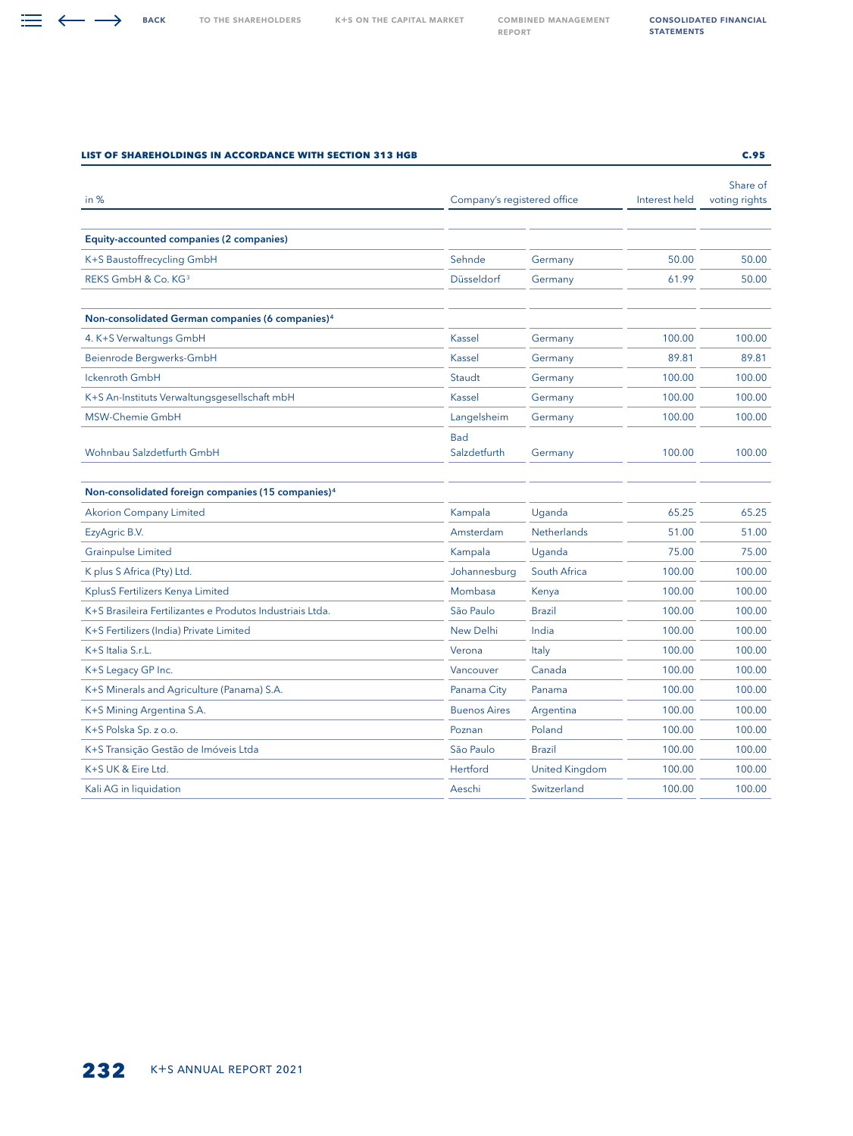report

| in $%$                                                         | Company's registered office |                       | Interest held | Share of<br>voting rights |
|----------------------------------------------------------------|-----------------------------|-----------------------|---------------|---------------------------|
|                                                                |                             |                       |               |                           |
| Equity-accounted companies (2 companies)                       |                             |                       |               |                           |
| K+S Baustoffrecycling GmbH                                     | Sehnde                      | Germany               | 50.00         | 50.00                     |
| REKS GmbH & Co. KG <sup>3</sup>                                | Düsseldorf                  | Germany               | 61.99         | 50.00                     |
| Non-consolidated German companies (6 companies) <sup>4</sup>   |                             |                       |               |                           |
| 4. K+S Verwaltungs GmbH                                        | Kassel                      | Germany               | 100.00        | 100.00                    |
| Beienrode Bergwerks-GmbH                                       | Kassel                      | Germany               | 89.81         | 89.81                     |
| <b>Ickenroth GmbH</b>                                          | Staudt                      | Germany               | 100.00        | 100.00                    |
| K+S An-Instituts Verwaltungsgesellschaft mbH                   | Kassel                      | Germany               | 100.00        | 100.00                    |
| MSW-Chemie GmbH                                                | Langelsheim                 | Germany               | 100.00        | 100.00                    |
| Wohnbau Salzdetfurth GmbH                                      | Bad<br>Salzdetfurth         | Germany               | 100.00        | 100.00                    |
| Non-consolidated foreign companies (15 companies) <sup>4</sup> |                             |                       |               |                           |
| <b>Akorion Company Limited</b>                                 | Kampala                     | Uganda                | 65.25         | 65.25                     |
| EzyAgric B.V.                                                  | Amsterdam                   | <b>Netherlands</b>    | 51.00         | 51.00                     |
| <b>Grainpulse Limited</b>                                      | Kampala                     | Uganda                | 75.00         | 75.00                     |
| K plus S Africa (Pty) Ltd.                                     | Johannesburg                | South Africa          | 100.00        | 100.00                    |
| KplusS Fertilizers Kenya Limited                               | Mombasa                     | Kenya                 | 100.00        | 100.00                    |
| K+S Brasileira Fertilizantes e Produtos Industriais Ltda.      | São Paulo                   | <b>Brazil</b>         | 100.00        | 100.00                    |
| K+S Fertilizers (India) Private Limited                        | <b>New Delhi</b>            | India                 | 100.00        | 100.00                    |
| K+S Italia S.r.L.                                              | Verona                      | Italy                 | 100.00        | 100.00                    |
| K+S Legacy GP Inc.                                             | Vancouver                   | Canada                | 100.00        | 100.00                    |
| K+S Minerals and Agriculture (Panama) S.A.                     | Panama City                 | Panama                | 100.00        | 100.00                    |
| K+S Mining Argentina S.A.                                      | <b>Buenos Aires</b>         | Argentina             | 100.00        | 100.00                    |
| K+S Polska Sp. z o.o.                                          | Poznan                      | Poland                | 100.00        | 100.00                    |
| K+S Transição Gestão de Imóveis Ltda                           | São Paulo                   | <b>Brazil</b>         | 100.00        | 100.00                    |
| K+S UK & Eire Ltd.                                             | Hertford                    | <b>United Kingdom</b> | 100.00        | 100.00                    |
| Kali AG in liquidation                                         | Aeschi                      | Switzerland           | 100.00        | 100.00                    |